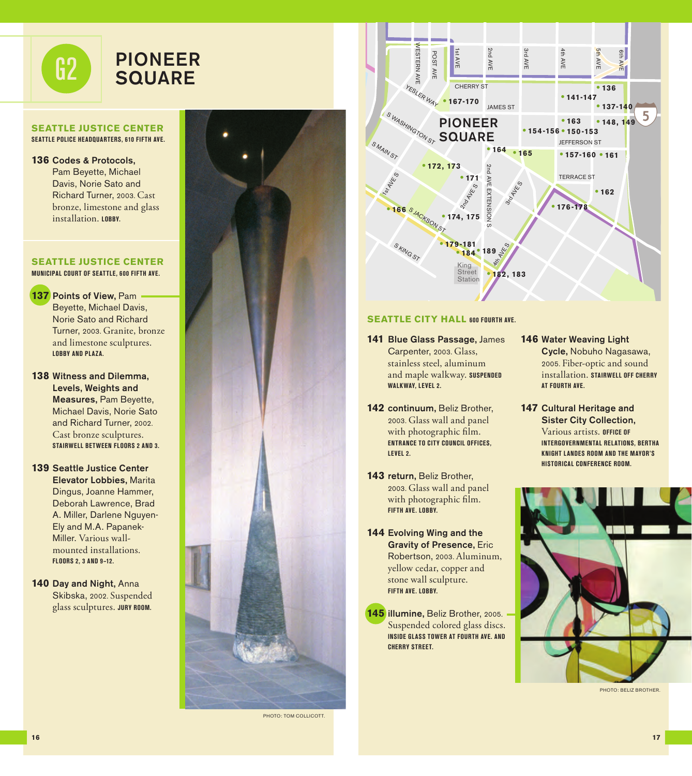

## **SEATTLE JUSTICE CENTER SEATTLE POLICE HEADQUARTERS, 610 FIFTH AVE.**

**136** Codes & Protocols, Pam Beyette, Michael Davis, Norie Sato and Richard Turner, 2003. Cast bronze, limestone and glass installation. **LOBBY.** 

#### **SEATTLE JUSTICE CENTER MUNICIPAL COURT OF SEATTLE, 600 FIFTH AVE.**

**137** Points of View, Pam Beyette, Michael Davis, Norie Sato and Richard Turner, 2003. Granite, bronze and limestone sculptures. **LOBBY AND PLAZA.**

**138** Witness and Dilemma, Levels, Weights and Measures, Pam Beyette, Michael Davis, Norie Sato and Richard Turner, 2002. Cast bronze sculptures. **STAIRWELL BETWEEN FLOORS 2 AND 3.**

**139** Seattle Justice Center Elevator Lobbies, Marita Dingus, Joanne Hammer, Deborah Lawrence, Brad A. Miller, Darlene Nguyen-Ely and M.A. Papanek-Miller. Various wallmounted installations. **FLOORS 2, 3 AND 9–12.**

**140** Day and Night, Anna Skibska, 2002. Suspended glass sculptures. **JURY ROOM.** 



PHOTO: TOM COLLICOTT.



## **SEATTLE CITY HALL 600 FOURTH AVE.**

- **141** Blue Glass Passage, James Carpenter, 2003. Glass, stainless steel, aluminum and maple walkway. **SUSPENDED WALKWAY, LEVEL 2.**
- **142** continuum, Beliz Brother, 2003. Glass wall and panel with photographic film. **ENTRANCE TO CITY COUNCIL OFFICES, LEVEL 2.**
- **143** return, Beliz Brother, 2003. Glass wall and panel with photographic film. **FIFTH AVE. LOBBY.**
- **144** Evolving Wing and the Gravity of Presence, Eric Robertson, 2003. Aluminum, yellow cedar, copper and stone wall sculpture. **FIFTH AVE. LOBBY.**

**145** illumine, Beliz Brother, 2005. Suspended colored glass discs. **INSIDE GLASS TOWER AT FOURTH AVE. AND CHERRY STREET.**

#### **146** Water Weaving Light Cycle, Nobuho Nagasawa, 2005. Fiber-optic and sound installation. **STAIRWELL OFF CHERRY AT FOURTH AVE.**

**147** Cultural Heritage and Sister City Collection, Various artists. **OFFICE OF INTERGOVERNMENTAL RELATIONS, BERTHA KNIGHT LANDES ROOM AND THE MAYOR'S HISTORICAL CONFERENCE ROOM.**



PHOTO: BELIZ BROTHER.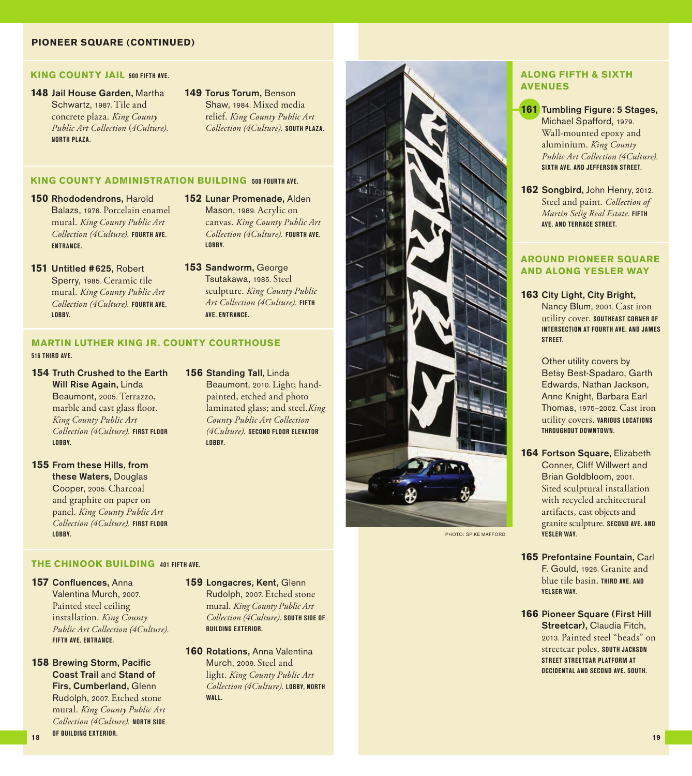## **PIONEER SQUARE (CONTINUED)**

#### **KING COUNTY JAIL 500 FIFTH AVE.**

- **148** Jail House Garden, Martha Schwartz, 1987. Tile and concrete plaza. *King County Public Art Collection* (*4Culture).*  **NORTH PLAZA.**
- **149** Torus Torum, Benson Shaw, 1984. Mixed media relief. *King County Public Art Collection (4Culture).* **SOUTH PLAZA.**

#### **KING COUNTY ADMINISTRATION BUILDING 500 FOURTH AVE.**

- **150** Rhododendrons, Harold Balazs, 1976. Porcelain enamel mural. *King County Public Art Collection (4Culture).* **FOURTH AVE. ENTRANCE.**
- **151** Untitled #625, Robert Sperry, 1985. Ceramic tile mural. *King County Public Art Collection (4Culture).* **FOURTH AVE. LOBBY.**
- **152** Lunar Promenade, Alden Mason, 1989. Acrylic on canvas. *King County Public Art Collection (4Culture).* **FOURTH AVE. LOBBY.**
- **153** Sandworm, George Tsutakawa, 1985. Steel sculpture. *King County Public Art Collection (4Culture).* **FIFTH AVE. ENTRANCE.**

Beaumont, 2010. Light; handpainted, etched and photo laminated glass; and steel.*King County Public Art Collection (4Culture).* **SECOND FLOOR ELEVATOR** 

**156** Standing Tall, Linda

**LOBBY.**

# **MARTIN LUTHER KING JR. COUNTY COURTHOUSE**

#### **516 THIRD AVE.**

- **154** Truth Crushed to the Earth Will Rise Again, Linda Beaumont, 2005. Terrazzo, marble and cast glass floor. *King County Public Art Collection (4Culture).* **FIRST FLOOR LOBBY.**
- **155** From these Hills, from these Waters, Douglas Cooper, 2005. Charcoal and graphite on paper on panel. *King County Public Art Collection (4Culture).* **FIRST FLOOR LOBBY.**

## **THE CHINOOK BUILDING 401 FIFTH AVE.**

**157** Confluences, Anna Valentina Murch, 2007. Painted steel ceiling installation. *King County Public Art Collection (4Culture).*  **FIFTH AVE. ENTRANCE.**

**158** Brewing Storm, Pacific Coast Trail and Stand of Firs, Cumberland, Glenn Rudolph, 2007. Etched stone mural. *King County Public Art Collection (4Culture).* **NORTH SIDE OF BUILDING EXTERIOR.**

- **159** Longacres, Kent, Glenn Rudolph, 2007. Etched stone mural. *King County Public Art Collection (4Culture).* **SOUTH SIDE OF BUILDING EXTERIOR**
- **160 Rotations, Anna Valentina** Murch, 2009. Steel and light. *King County Public Art Collection (4Culture).* **LOBBY, NORTH WALL.**



PHOTO: SPIKE MAFFORD.

### **ALONG FIFTH & SIXTH AVENUES**

- **161** Tumbling Figure: 5 Stages, Michael Spafford, 1979. Wall-mounted epoxy and aluminium. *King County Public Art Collection (4Culture).*  **SIXTH AVE. AND JEFFERSON STREET.**
- **162** Songbird, John Henry, 2012. Steel and paint. *Collection of Martin Selig Real Estate.* **FIFTH AVE. AND TERRACE STREET.**

## **AROUND PIONEER SQUARE AND ALONG YESLER WAY**

**163** City Light, City Bright, Nancy Blum, 2001. Cast iron utility cover. **SOUTHEAST CORNER OF INTERSECTION AT FOURTH AVE. AND JAMES STREET.** 

> Other utility covers by Betsy Best-Spadaro, Garth Edwards, Nathan Jackson, Anne Knight, Barbara Earl Thomas, 1975–2002. Cast iron utility covers. **VARIOUS LOCATIONS THROUGHOUT DOWNTOWN.**

- **164** Fortson Square, Elizabeth Conner, Cliff Willwert and Brian Goldbloom, 2001. Sited sculptural installation with recycled architectural artifacts, cast objects and granite sculpture. **SECOND AVE. AND YESLER WAY.**
- **165** Prefontaine Fountain, Carl F. Gould, 1926. Granite and blue tile basin. **THIRD AVE. AND YELSER WAY.**
- **166 Pioneer Square (First Hill)** Streetcar), Claudia Fitch, 2013. Painted steel "beads" on streetcar poles. **SOUTH JACKSON STREET STREETCAR PLATFORM AT OCCIDENTAL AND SECOND AVE. SOUTH.**